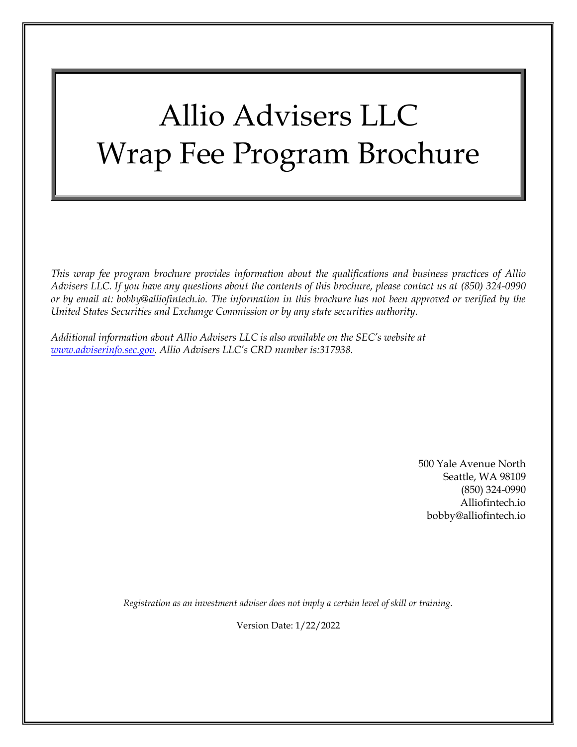# Allio Advisers LLC Wrap Fee Program Brochure

*This wrap fee program brochure provides information about the qualifications and business practices of Allio Advisers LLC. If you have any questions about the contents of this brochure, please contact us at (850) 324-0990 or by email at: bobby@alliofintech.io. The information in this brochure has not been approved or verified by the United States Securities and Exchange Commission or by any state securities authority.*

*Additional information about Allio Advisers LLC is also available on the SEC's website at [www.adviserinfo.sec.gov.](file:///C:/Users/RebeccaCollins/Documents/Approved/Behringer,%20Eddie%20(SEC)(WA)/www.adviserinfo.sec.gov) Allio Advisers LLC's CRD number is:317938.*

> 500 Yale Avenue North Seattle, WA 98109 (850) 324-0990 Alliofintech.io bobby@alliofintech.io

*Registration as an investment adviser does not imply a certain level of skill or training.*

Version Date: 1/22/2022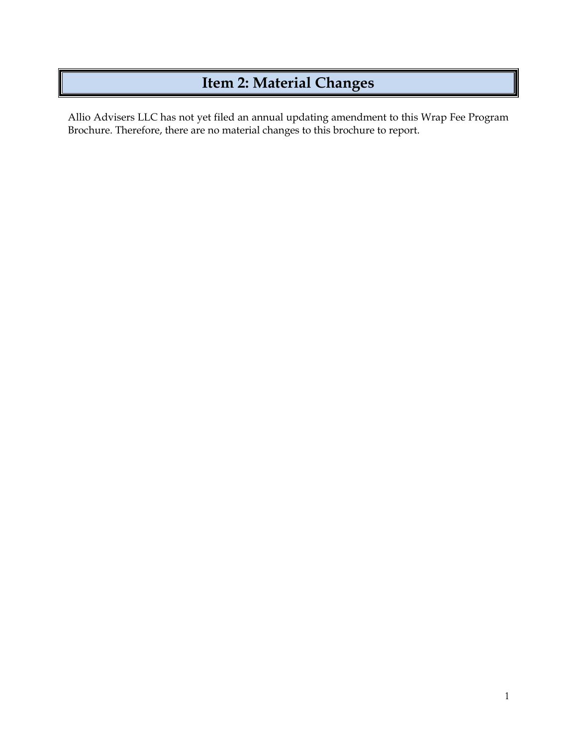## **Item 2: Material Changes**

<span id="page-1-0"></span>Allio Advisers LLC has not yet filed an annual updating amendment to this Wrap Fee Program Brochure. Therefore, there are no material changes to this brochure to report.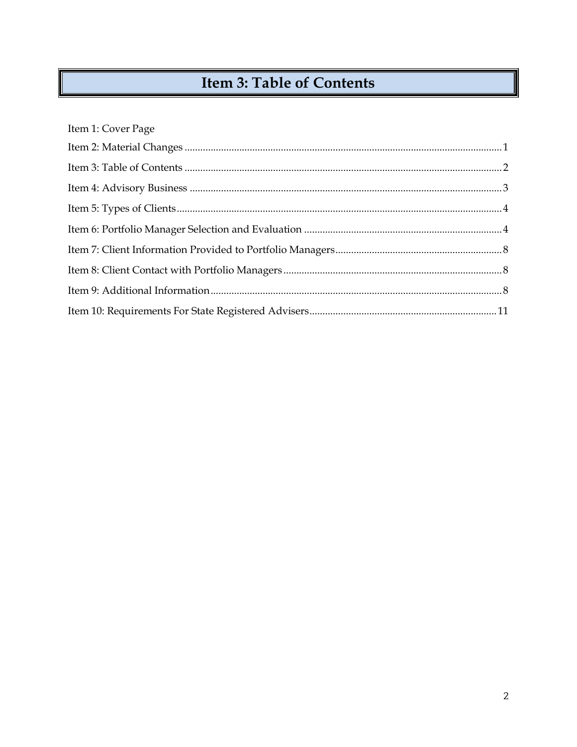# **Item 3: Table of Contents**

<span id="page-2-0"></span>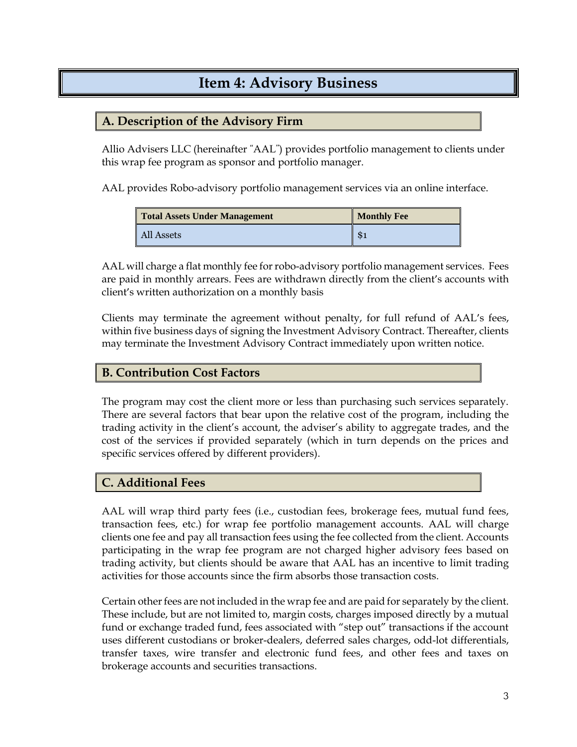### **Item 4: Advisory Business**

### <span id="page-3-0"></span>**A. Description of the Advisory Firm**

Allio Advisers LLC (hereinafter "AAL") provides portfolio management to clients under this wrap fee program as sponsor and portfolio manager.

AAL provides Robo-advisory portfolio management services via an online interface.

| <b>Total Assets Under Management</b> | <b>Monthly Fee</b> |
|--------------------------------------|--------------------|
| All Assets                           | \$1                |

AAL will charge a flat monthly fee for robo-advisory portfolio management services. Fees are paid in monthly arrears. Fees are withdrawn directly from the client's accounts with client's written authorization on a monthly basis

Clients may terminate the agreement without penalty, for full refund of AAL's fees, within five business days of signing the Investment Advisory Contract. Thereafter, clients may terminate the Investment Advisory Contract immediately upon written notice.

### **B. Contribution Cost Factors**

The program may cost the client more or less than purchasing such services separately. There are several factors that bear upon the relative cost of the program, including the trading activity in the client's account, the adviser's ability to aggregate trades, and the cost of the services if provided separately (which in turn depends on the prices and specific services offered by different providers).

### **C. Additional Fees**

AAL will wrap third party fees (i.e., custodian fees, brokerage fees, mutual fund fees, transaction fees, etc.) for wrap fee portfolio management accounts. AAL will charge clients one fee and pay all transaction fees using the fee collected from the client. Accounts participating in the wrap fee program are not charged higher advisory fees based on trading activity, but clients should be aware that AAL has an incentive to limit trading activities for those accounts since the firm absorbs those transaction costs.

Certain other fees are not included in the wrap fee and are paid for separately by the client. These include, but are not limited to, margin costs, charges imposed directly by a mutual fund or exchange traded fund, fees associated with "step out" transactions if the account uses different custodians or broker-dealers, deferred sales charges, odd-lot differentials, transfer taxes, wire transfer and electronic fund fees, and other fees and taxes on brokerage accounts and securities transactions.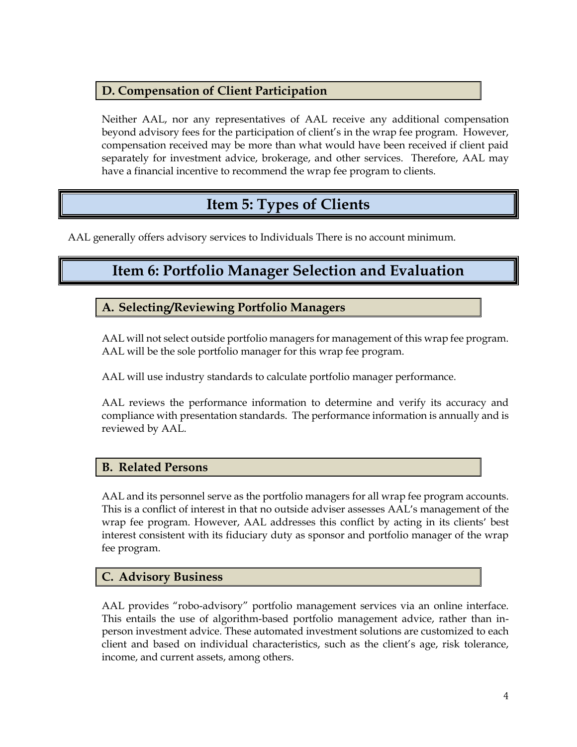### **D. Compensation of Client Participation**

Neither AAL, nor any representatives of AAL receive any additional compensation beyond advisory fees for the participation of client's in the wrap fee program. However, compensation received may be more than what would have been received if client paid separately for investment advice, brokerage, and other services. Therefore, AAL may have a financial incentive to recommend the wrap fee program to clients.

### **Item 5: Types of Clients**

<span id="page-4-1"></span><span id="page-4-0"></span>AAL generally offers advisory services to Individuals There is no account minimum.

### **Item 6: Portfolio Manager Selection and Evaluation**

**A. Selecting/Reviewing Portfolio Managers**

AAL will not select outside portfolio managers for management of this wrap fee program. AAL will be the sole portfolio manager for this wrap fee program.

AAL will use industry standards to calculate portfolio manager performance.

AAL reviews the performance information to determine and verify its accuracy and compliance with presentation standards. The performance information is annually and is reviewed by AAL.

### **B. Related Persons**

AAL and its personnel serve as the portfolio managers for all wrap fee program accounts. This is a conflict of interest in that no outside adviser assesses AAL's management of the wrap fee program. However, AAL addresses this conflict by acting in its clients' best interest consistent with its fiduciary duty as sponsor and portfolio manager of the wrap fee program.

### **C. Advisory Business**

AAL provides "robo-advisory" portfolio management services via an online interface. This entails the use of algorithm-based portfolio management advice, rather than inperson investment advice. These automated investment solutions are customized to each client and based on individual characteristics, such as the client's age, risk tolerance, income, and current assets, among others.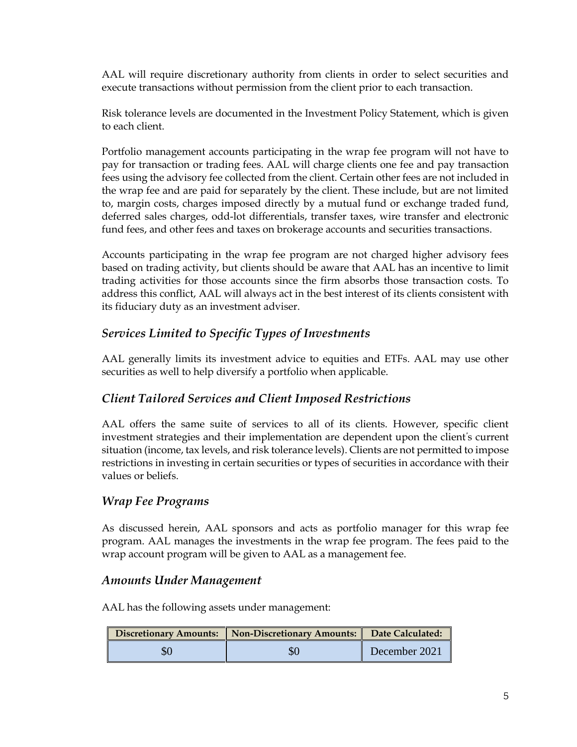AAL will require discretionary authority from clients in order to select securities and execute transactions without permission from the client prior to each transaction.

Risk tolerance levels are documented in the Investment Policy Statement, which is given to each client.

Portfolio management accounts participating in the wrap fee program will not have to pay for transaction or trading fees. AAL will charge clients one fee and pay transaction fees using the advisory fee collected from the client. Certain other fees are not included in the wrap fee and are paid for separately by the client. These include, but are not limited to, margin costs, charges imposed directly by a mutual fund or exchange traded fund, deferred sales charges, odd-lot differentials, transfer taxes, wire transfer and electronic fund fees, and other fees and taxes on brokerage accounts and securities transactions.

Accounts participating in the wrap fee program are not charged higher advisory fees based on trading activity, but clients should be aware that AAL has an incentive to limit trading activities for those accounts since the firm absorbs those transaction costs. To address this conflict, AAL will always act in the best interest of its clients consistent with its fiduciary duty as an investment adviser.

### *Services Limited to Specific Types of Investments*

AAL generally limits its investment advice to equities and ETFs. AAL may use other securities as well to help diversify a portfolio when applicable.

### *Client Tailored Services and Client Imposed Restrictions*

AAL offers the same suite of services to all of its clients. However, specific client investment strategies and their implementation are dependent upon the client's current situation (income, tax levels, and risk tolerance levels). Clients are not permitted to impose restrictions in investing in certain securities or types of securities in accordance with their values or beliefs.

### *Wrap Fee Programs*

As discussed herein, AAL sponsors and acts as portfolio manager for this wrap fee program. AAL manages the investments in the wrap fee program. The fees paid to the wrap account program will be given to AAL as a management fee.

### *Amounts Under Management*

AAL has the following assets under management:

| Discretionary Amounts:   Non-Discretionary Amounts:   Date Calculated: |               |
|------------------------------------------------------------------------|---------------|
|                                                                        | December 2021 |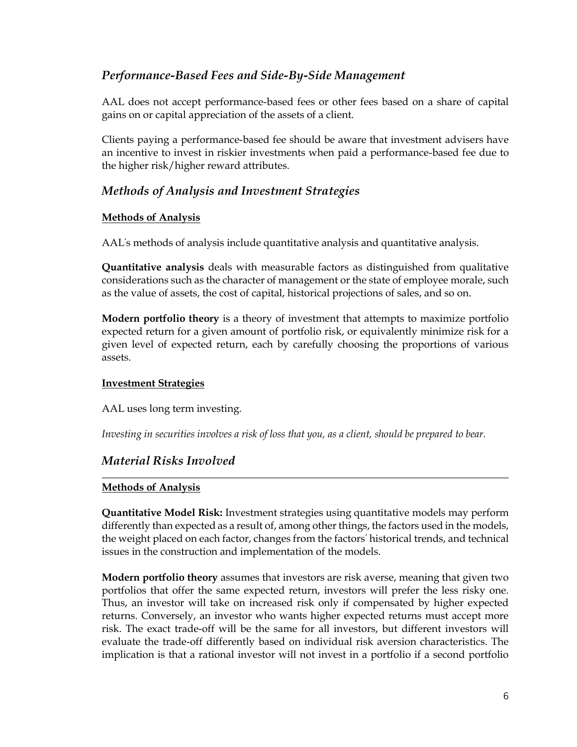### *Performance-Based Fees and Side-By-Side Management*

AAL does not accept performance-based fees or other fees based on a share of capital gains on or capital appreciation of the assets of a client.

Clients paying a performance-based fee should be aware that investment advisers have an incentive to invest in riskier investments when paid a performance-based fee due to the higher risk/higher reward attributes.

### *Methods of Analysis and Investment Strategies*

### **Methods of Analysis**

AAL's methods of analysis include quantitative analysis and quantitative analysis.

**Quantitative analysis** deals with measurable factors as distinguished from qualitative considerations such as the character of management or the state of employee morale, such as the value of assets, the cost of capital, historical projections of sales, and so on.

**Modern portfolio theory** is a theory of investment that attempts to maximize portfolio expected return for a given amount of portfolio risk, or equivalently minimize risk for a given level of expected return, each by carefully choosing the proportions of various assets.

#### **Investment Strategies**

AAL uses long term investing.

*Investing in securities involves a risk of loss that you, as a client, should be prepared to bear.*

### *Material Risks Involved*

### **Methods of Analysis**

**Quantitative Model Risk:** Investment strategies using quantitative models may perform differently than expected as a result of, among other things, the factors used in the models, the weight placed on each factor, changes from the factors' historical trends, and technical issues in the construction and implementation of the models.

**Modern portfolio theory** assumes that investors are risk averse, meaning that given two portfolios that offer the same expected return, investors will prefer the less risky one. Thus, an investor will take on increased risk only if compensated by higher expected returns. Conversely, an investor who wants higher expected returns must accept more risk. The exact trade-off will be the same for all investors, but different investors will evaluate the trade-off differently based on individual risk aversion characteristics. The implication is that a rational investor will not invest in a portfolio if a second portfolio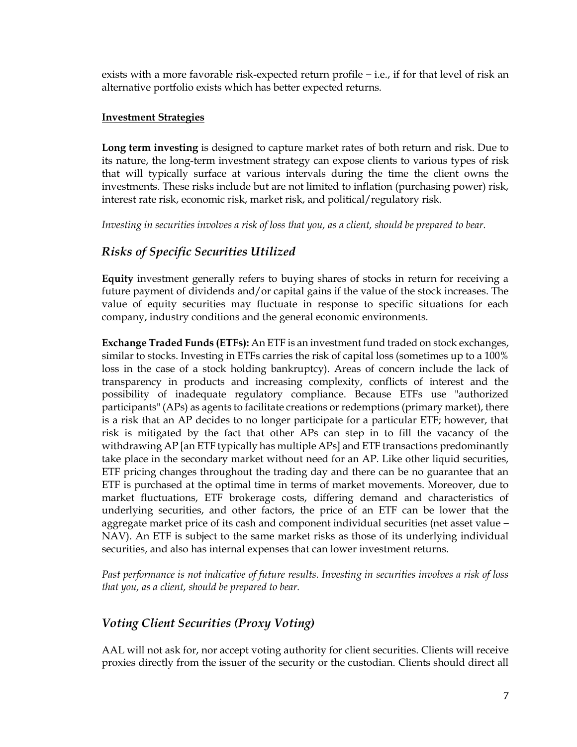exists with a more favorable risk-expected return profile – i.e., if for that level of risk an alternative portfolio exists which has better expected returns.

#### **Investment Strategies**

**Long term investing** is designed to capture market rates of both return and risk. Due to its nature, the long-term investment strategy can expose clients to various types of risk that will typically surface at various intervals during the time the client owns the investments. These risks include but are not limited to inflation (purchasing power) risk, interest rate risk, economic risk, market risk, and political/regulatory risk.

*Investing in securities involves a risk of loss that you, as a client, should be prepared to bear.*

### *Risks of Specific Securities Utilized*

**Equity** investment generally refers to buying shares of stocks in return for receiving a future payment of dividends and/or capital gains if the value of the stock increases. The value of equity securities may fluctuate in response to specific situations for each company, industry conditions and the general economic environments.

**Exchange Traded Funds (ETFs):** An ETF is an investment fund traded on stock exchanges, similar to stocks. Investing in ETFs carries the risk of capital loss (sometimes up to a 100% loss in the case of a stock holding bankruptcy). Areas of concern include the lack of transparency in products and increasing complexity, conflicts of interest and the possibility of inadequate regulatory compliance. Because ETFs use "authorized participants" (APs) as agents to facilitate creations or redemptions (primary market), there is a risk that an AP decides to no longer participate for a particular ETF; however, that risk is mitigated by the fact that other APs can step in to fill the vacancy of the withdrawing AP [an ETF typically has multiple APs] and ETF transactions predominantly take place in the secondary market without need for an AP. Like other liquid securities, ETF pricing changes throughout the trading day and there can be no guarantee that an ETF is purchased at the optimal time in terms of market movements. Moreover, due to market fluctuations, ETF brokerage costs, differing demand and characteristics of underlying securities, and other factors, the price of an ETF can be lower that the aggregate market price of its cash and component individual securities (net asset value – NAV). An ETF is subject to the same market risks as those of its underlying individual securities, and also has internal expenses that can lower investment returns.

*Past performance is not indicative of future results. Investing in securities involves a risk of loss that you, as a client, should be prepared to bear.*

### *Voting Client Securities (Proxy Voting)*

AAL will not ask for, nor accept voting authority for client securities. Clients will receive proxies directly from the issuer of the security or the custodian. Clients should direct all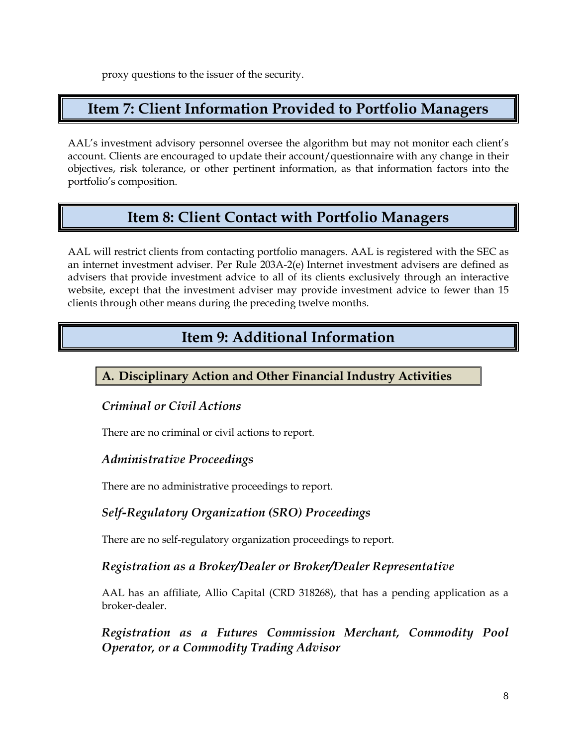proxy questions to the issuer of the security.

### <span id="page-8-0"></span>**Item 7: Client Information Provided to Portfolio Managers**

AAL's investment advisory personnel oversee the algorithm but may not monitor each client's account. Clients are encouraged to update their account/questionnaire with any change in their objectives, risk tolerance, or other pertinent information, as that information factors into the portfolio's composition.

### **Item 8: Client Contact with Portfolio Managers**

<span id="page-8-1"></span>AAL will restrict clients from contacting portfolio managers. AAL is registered with the SEC as an internet investment adviser. Per Rule 203A-2(e) Internet investment advisers are defined as advisers that provide investment advice to all of its clients exclusively through an interactive website, except that the investment adviser may provide investment advice to fewer than 15 clients through other means during the preceding twelve months.

### **Item 9: Additional Information**

### <span id="page-8-2"></span>**A. Disciplinary Action and Other Financial Industry Activities**

### *Criminal or Civil Actions*

There are no criminal or civil actions to report.

### *Administrative Proceedings*

There are no administrative proceedings to report.

### *Self-Regulatory Organization (SRO) Proceedings*

There are no self-regulatory organization proceedings to report.

### *Registration as a Broker/Dealer or Broker/Dealer Representative*

AAL has an affiliate, Allio Capital (CRD 318268), that has a pending application as a broker-dealer.

*Registration as a Futures Commission Merchant, Commodity Pool Operator, or a Commodity Trading Advisor*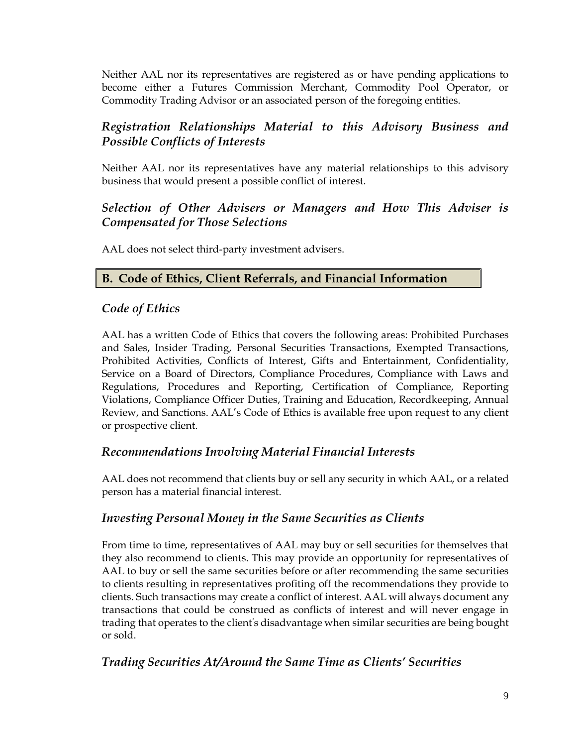Neither AAL nor its representatives are registered as or have pending applications to become either a Futures Commission Merchant, Commodity Pool Operator, or Commodity Trading Advisor or an associated person of the foregoing entities.

### *Registration Relationships Material to this Advisory Business and Possible Conflicts of Interests*

Neither AAL nor its representatives have any material relationships to this advisory business that would present a possible conflict of interest.

### *Selection of Other Advisers or Managers and How This Adviser is Compensated for Those Selections*

AAL does not select third-party investment advisers.

### **B. Code of Ethics, Client Referrals, and Financial Information**

### *Code of Ethics*

AAL has a written Code of Ethics that covers the following areas: Prohibited Purchases and Sales, Insider Trading, Personal Securities Transactions, Exempted Transactions, Prohibited Activities, Conflicts of Interest, Gifts and Entertainment, Confidentiality, Service on a Board of Directors, Compliance Procedures, Compliance with Laws and Regulations, Procedures and Reporting, Certification of Compliance, Reporting Violations, Compliance Officer Duties, Training and Education, Recordkeeping, Annual Review, and Sanctions. AAL's Code of Ethics is available free upon request to any client or prospective client.

### *Recommendations Involving Material Financial Interests*

AAL does not recommend that clients buy or sell any security in which AAL, or a related person has a material financial interest.

### *Investing Personal Money in the Same Securities as Clients*

From time to time, representatives of AAL may buy or sell securities for themselves that they also recommend to clients. This may provide an opportunity for representatives of AAL to buy or sell the same securities before or after recommending the same securities to clients resulting in representatives profiting off the recommendations they provide to clients. Such transactions may create a conflict of interest. AAL will always document any transactions that could be construed as conflicts of interest and will never engage in trading that operates to the client's disadvantage when similar securities are being bought or sold.

### *Trading Securities At/Around the Same Time as Clients' Securities*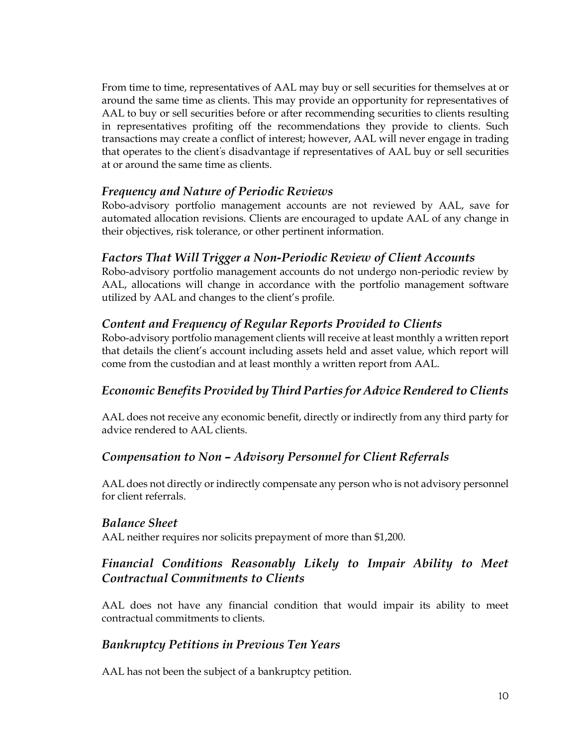From time to time, representatives of AAL may buy or sell securities for themselves at or around the same time as clients. This may provide an opportunity for representatives of AAL to buy or sell securities before or after recommending securities to clients resulting in representatives profiting off the recommendations they provide to clients. Such transactions may create a conflict of interest; however, AAL will never engage in trading that operates to the client's disadvantage if representatives of AAL buy or sell securities at or around the same time as clients.

### *Frequency and Nature of Periodic Reviews*

Robo-advisory portfolio management accounts are not reviewed by AAL, save for automated allocation revisions. Clients are encouraged to update AAL of any change in their objectives, risk tolerance, or other pertinent information.

### *Factors That Will Trigger a Non-Periodic Review of Client Accounts*

Robo-advisory portfolio management accounts do not undergo non-periodic review by AAL, allocations will change in accordance with the portfolio management software utilized by AAL and changes to the client's profile.

### *Content and Frequency of Regular Reports Provided to Clients*

Robo-advisory portfolio management clients will receive at least monthly a written report that details the client's account including assets held and asset value, which report will come from the custodian and at least monthly a written report from AAL.

### *Economic Benefits Provided by Third Parties for Advice Rendered to Clients*

AAL does not receive any economic benefit, directly or indirectly from any third party for advice rendered to AAL clients.

### *Compensation to Non – Advisory Personnel for Client Referrals*

AAL does not directly or indirectly compensate any person who is not advisory personnel for client referrals.

### *Balance Sheet*

AAL neither requires nor solicits prepayment of more than \$1,200.

### *Financial Conditions Reasonably Likely to Impair Ability to Meet Contractual Commitments to Clients*

AAL does not have any financial condition that would impair its ability to meet contractual commitments to clients.

### *Bankruptcy Petitions in Previous Ten Years*

AAL has not been the subject of a bankruptcy petition.